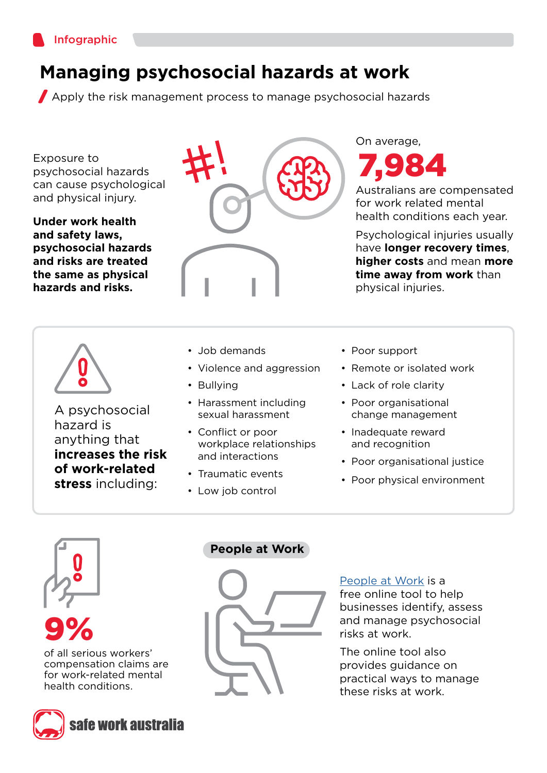

## **Managing psychosocial hazards at work**

Apply the risk management process to manage psychosocial hazards

Exposure to psychosocial hazards can cause psychological and physical injury.

**Under work health and safety laws, psychosocial hazards and risks are treated the same as physical hazards and risks.**



A psychosocial hazard is anything that **increases the risk of work-related stress** including:



- Job demands
- Violence and aggression
- Bullying
- Harassment including sexual harassment
- Conflict or poor workplace relationships and interactions
- Traumatic events
- Low job control

7,984 On average,

Australians are compensated for work related mental health conditions each year.

Psychological injuries usually have **longer recovery times**, **higher costs** and mean **more time away from work** than physical injuries.

- Poor support
- Remote or isolated work
- Lack of role clarity
- Poor organisational change management
- Inadequate reward and recognition
- Poor organisational justice
- Poor physical environment



9%

of all serious workers' compensation claims are for work‑related mental health conditions.



#### **People at Work**



[People at Work](https://www.peopleatwork.gov.au/) is a free online tool to help businesses identify, assess and manage psychosocial risks at work.

The online tool also provides guidance on practical ways to manage these risks at work.